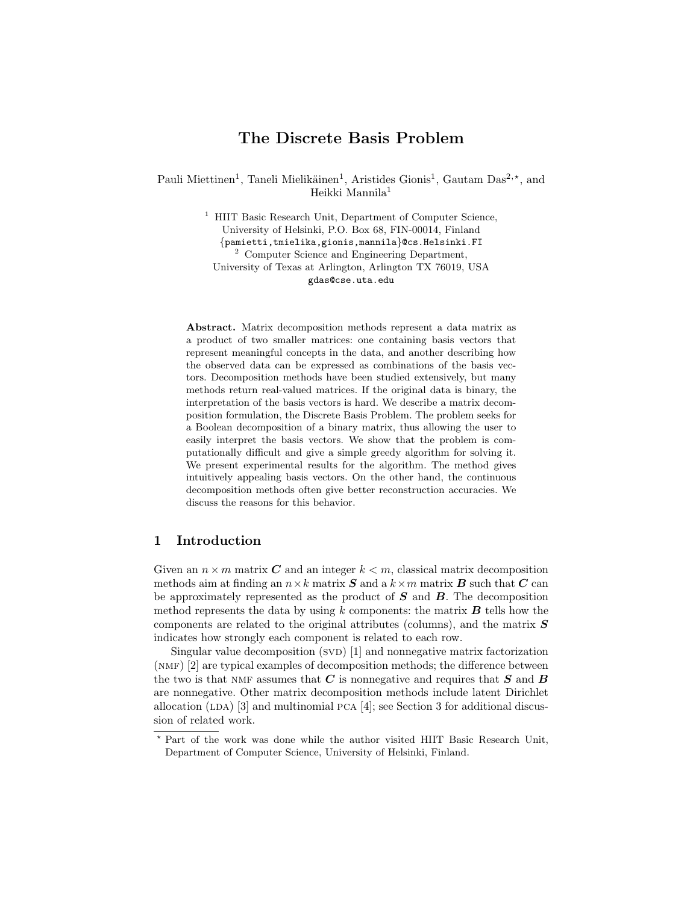# The Discrete Basis Problem

Pauli Miettinen<sup>1</sup>, Taneli Mielikäinen<sup>1</sup>, Aristides Gionis<sup>1</sup>, Gautam Das<sup>2,\*</sup>, and Heikki Mannila<sup>1</sup>

> <sup>1</sup> HIIT Basic Research Unit, Department of Computer Science, University of Helsinki, P.O. Box 68, FIN-00014, Finland {pamietti,tmielika,gionis,mannila}@cs.Helsinki.FI <sup>2</sup> Computer Science and Engineering Department, University of Texas at Arlington, Arlington TX 76019, USA gdas@cse.uta.edu

Abstract. Matrix decomposition methods represent a data matrix as a product of two smaller matrices: one containing basis vectors that represent meaningful concepts in the data, and another describing how the observed data can be expressed as combinations of the basis vectors. Decomposition methods have been studied extensively, but many methods return real-valued matrices. If the original data is binary, the interpretation of the basis vectors is hard. We describe a matrix decomposition formulation, the Discrete Basis Problem. The problem seeks for a Boolean decomposition of a binary matrix, thus allowing the user to easily interpret the basis vectors. We show that the problem is computationally difficult and give a simple greedy algorithm for solving it. We present experimental results for the algorithm. The method gives intuitively appealing basis vectors. On the other hand, the continuous decomposition methods often give better reconstruction accuracies. We discuss the reasons for this behavior.

### 1 Introduction

Given an  $n \times m$  matrix C and an integer  $k < m$ , classical matrix decomposition methods aim at finding an  $n \times k$  matrix **S** and a  $k \times m$  matrix **B** such that **C** can be approximately represented as the product of  $S$  and  $B$ . The decomposition method represents the data by using k components: the matrix  $\bf{B}$  tells how the components are related to the original attributes (columns), and the matrix  $S$ indicates how strongly each component is related to each row.

Singular value decomposition  $(SVD)$  [1] and nonnegative matrix factorization (nmf) [2] are typical examples of decomposition methods; the difference between the two is that NMF assumes that  $C$  is nonnegative and requires that  $S$  and  $B$ are nonnegative. Other matrix decomposition methods include latent Dirichlet allocation (LDA)  $[3]$  and multinomial PCA  $[4]$ ; see Section 3 for additional discussion of related work.

<sup>?</sup> Part of the work was done while the author visited HIIT Basic Research Unit, Department of Computer Science, University of Helsinki, Finland.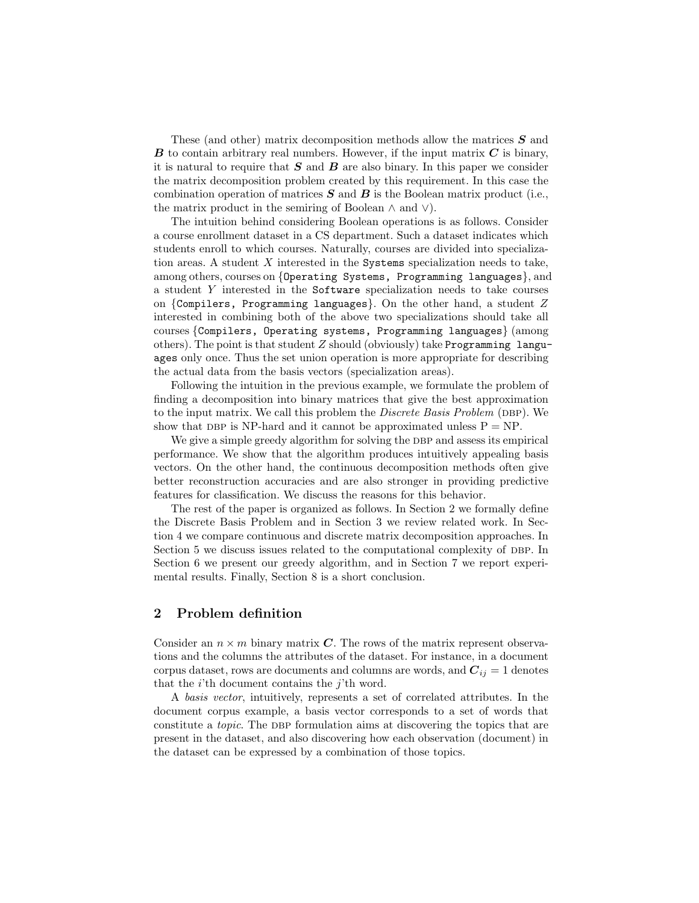These (and other) matrix decomposition methods allow the matrices S and  $\bm{B}$  to contain arbitrary real numbers. However, if the input matrix  $\bm{C}$  is binary, it is natural to require that  $S$  and  $B$  are also binary. In this paper we consider the matrix decomposition problem created by this requirement. In this case the combination operation of matrices  $S$  and  $B$  is the Boolean matrix product (i.e., the matrix product in the semiring of Boolean  $\land$  and  $\lor$ ).

The intuition behind considering Boolean operations is as follows. Consider a course enrollment dataset in a CS department. Such a dataset indicates which students enroll to which courses. Naturally, courses are divided into specialization areas. A student  $X$  interested in the Systems specialization needs to take, among others, courses on {Operating Systems, Programming languages}, and a student Y interested in the Software specialization needs to take courses on {Compilers, Programming languages}. On the other hand, a student  $Z$ interested in combining both of the above two specializations should take all courses {Compilers, Operating systems, Programming languages} (among others). The point is that student  $Z$  should (obviously) take Programming languages only once. Thus the set union operation is more appropriate for describing the actual data from the basis vectors (specialization areas).

Following the intuition in the previous example, we formulate the problem of finding a decomposition into binary matrices that give the best approximation to the input matrix. We call this problem the *Discrete Basis Problem* (DBP). We show that DBP is NP-hard and it cannot be approximated unless  $P = NP$ .

We give a simple greedy algorithm for solving the DBP and assess its empirical performance. We show that the algorithm produces intuitively appealing basis vectors. On the other hand, the continuous decomposition methods often give better reconstruction accuracies and are also stronger in providing predictive features for classification. We discuss the reasons for this behavior.

The rest of the paper is organized as follows. In Section 2 we formally define the Discrete Basis Problem and in Section 3 we review related work. In Section 4 we compare continuous and discrete matrix decomposition approaches. In Section 5 we discuss issues related to the computational complexity of DBP. In Section 6 we present our greedy algorithm, and in Section 7 we report experimental results. Finally, Section 8 is a short conclusion.

# 2 Problem definition

Consider an  $n \times m$  binary matrix C. The rows of the matrix represent observations and the columns the attributes of the dataset. For instance, in a document corpus dataset, rows are documents and columns are words, and  $C_{ij} = 1$  denotes that the  $i$ 'th document contains the  $j$ 'th word.

A basis vector, intuitively, represents a set of correlated attributes. In the document corpus example, a basis vector corresponds to a set of words that constitute a *topic*. The DBP formulation aims at discovering the topics that are present in the dataset, and also discovering how each observation (document) in the dataset can be expressed by a combination of those topics.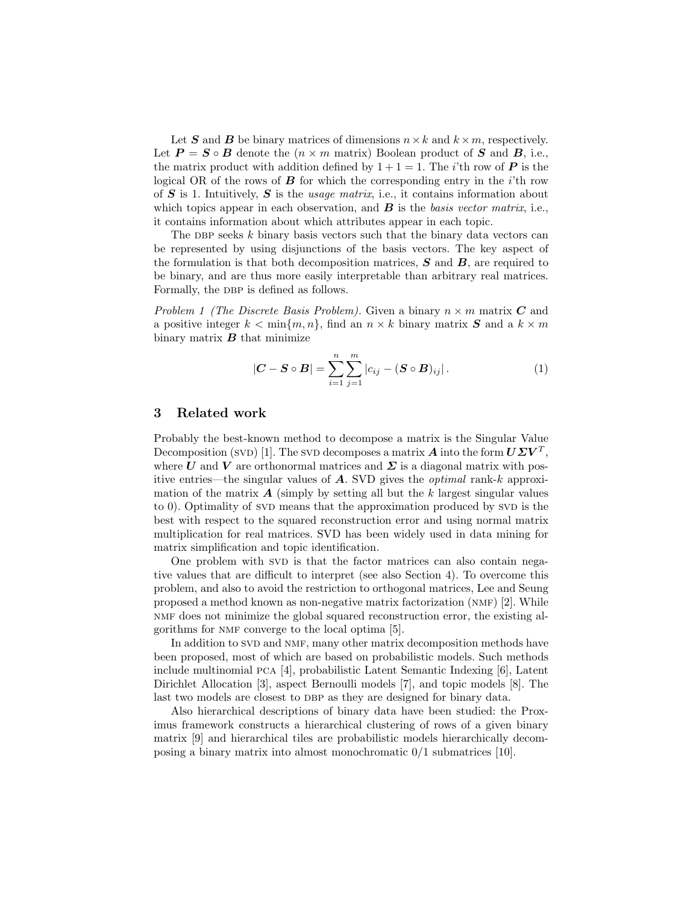Let S and B be binary matrices of dimensions  $n \times k$  and  $k \times m$ , respectively. Let  $P = S \circ B$  denote the  $(n \times m \text{ matrix})$  Boolean product of S and B, i.e., the matrix product with addition defined by  $1 + 1 = 1$ . The *i*'th row of **P** is the logical OR of the rows of  $\bf{B}$  for which the corresponding entry in the *i*'th row of  $S$  is 1. Intuitively,  $S$  is the *usage matrix*, i.e., it contains information about which topics appear in each observation, and  $\boldsymbol{B}$  is the basis vector matrix, i.e., it contains information about which attributes appear in each topic.

The DBP seeks  $k$  binary basis vectors such that the binary data vectors can be represented by using disjunctions of the basis vectors. The key aspect of the formulation is that both decomposition matrices,  $S$  and  $B$ , are required to be binary, and are thus more easily interpretable than arbitrary real matrices. Formally, the DBP is defined as follows.

Problem 1 (The Discrete Basis Problem). Given a binary  $n \times m$  matrix C and a positive integer  $k < \min\{m, n\}$ , find an  $n \times k$  binary matrix **S** and a  $k \times m$ binary matrix  $\boldsymbol{B}$  that minimize

$$
|\mathbf{C} - \mathbf{S} \circ \mathbf{B}| = \sum_{i=1}^{n} \sum_{j=1}^{m} |c_{ij} - (\mathbf{S} \circ \mathbf{B})_{ij}|.
$$
 (1)

# 3 Related work

Probably the best-known method to decompose a matrix is the Singular Value Decomposition (SVD) [1]. The SVD decomposes a matrix **A** into the form  $U\Sigma V^T$ , where U and V are orthonormal matrices and  $\Sigma$  is a diagonal matrix with positive entries—the singular values of  $A$ . SVD gives the *optimal* rank- $k$  approximation of the matrix  $\boldsymbol{A}$  (simply by setting all but the k largest singular values to  $(0)$ . Optimality of SVD means that the approximation produced by SVD is the best with respect to the squared reconstruction error and using normal matrix multiplication for real matrices. SVD has been widely used in data mining for matrix simplification and topic identification.

One problem with svD is that the factor matrices can also contain negative values that are difficult to interpret (see also Section 4). To overcome this problem, and also to avoid the restriction to orthogonal matrices, Lee and Seung proposed a method known as non-negative matrix factorization (nmf) [2]. While nmf does not minimize the global squared reconstruction error, the existing algorithms for nmf converge to the local optima [5].

In addition to SVD and NMF, many other matrix decomposition methods have been proposed, most of which are based on probabilistic models. Such methods include multinomial pca [4], probabilistic Latent Semantic Indexing [6], Latent Dirichlet Allocation [3], aspect Bernoulli models [7], and topic models [8]. The last two models are closest to DBP as they are designed for binary data.

Also hierarchical descriptions of binary data have been studied: the Proximus framework constructs a hierarchical clustering of rows of a given binary matrix [9] and hierarchical tiles are probabilistic models hierarchically decomposing a binary matrix into almost monochromatic 0/1 submatrices [10].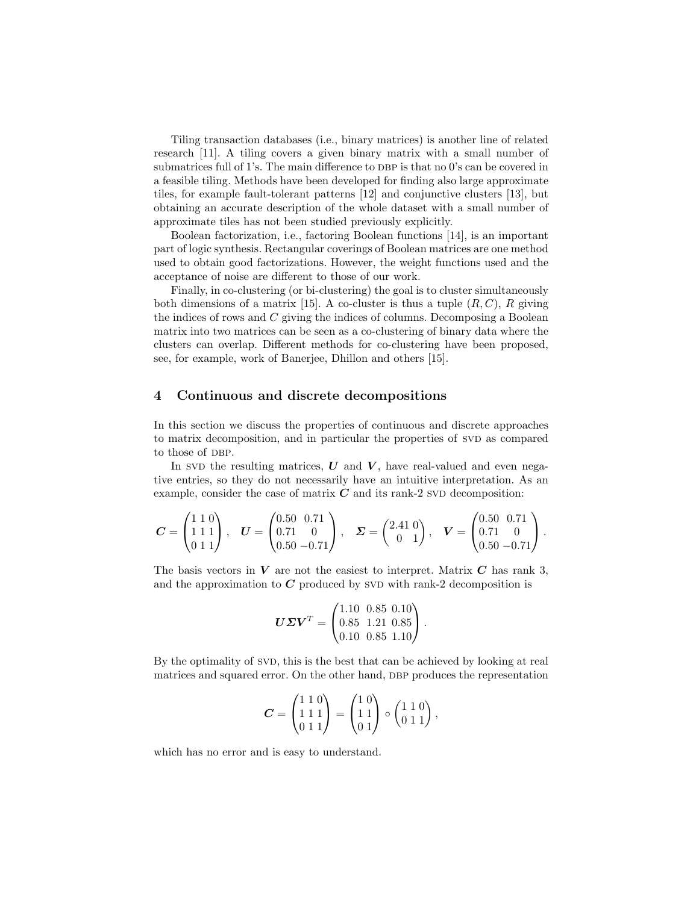Tiling transaction databases (i.e., binary matrices) is another line of related research [11]. A tiling covers a given binary matrix with a small number of submatrices full of 1's. The main difference to DBP is that no  $0$ 's can be covered in a feasible tiling. Methods have been developed for finding also large approximate tiles, for example fault-tolerant patterns [12] and conjunctive clusters [13], but obtaining an accurate description of the whole dataset with a small number of approximate tiles has not been studied previously explicitly.

Boolean factorization, i.e., factoring Boolean functions [14], is an important part of logic synthesis. Rectangular coverings of Boolean matrices are one method used to obtain good factorizations. However, the weight functions used and the acceptance of noise are different to those of our work.

Finally, in co-clustering (or bi-clustering) the goal is to cluster simultaneously both dimensions of a matrix [15]. A co-cluster is thus a tuple  $(R, C)$ , R giving the indices of rows and C giving the indices of columns. Decomposing a Boolean matrix into two matrices can be seen as a co-clustering of binary data where the clusters can overlap. Different methods for co-clustering have been proposed, see, for example, work of Banerjee, Dhillon and others [15].

### 4 Continuous and discrete decompositions

In this section we discuss the properties of continuous and discrete approaches to matrix decomposition, and in particular the properties of SVD as compared to those of DBP.

In svD the resulting matrices,  $U$  and  $V$ , have real-valued and even negative entries, so they do not necessarily have an intuitive interpretation. As an example, consider the case of matrix  $C$  and its rank-2 svD decomposition:

$$
\mathbf{C} = \begin{pmatrix} 1 & 1 & 0 \\ 1 & 1 & 1 \\ 0 & 1 & 1 \end{pmatrix}, \quad \mathbf{U} = \begin{pmatrix} 0.50 & 0.71 \\ 0.71 & 0 \\ 0.50 & -0.71 \end{pmatrix}, \quad \mathbf{\Sigma} = \begin{pmatrix} 2.41 & 0 \\ 0 & 1 \end{pmatrix}, \quad \mathbf{V} = \begin{pmatrix} 0.50 & 0.71 \\ 0.71 & 0 \\ 0.50 & -0.71 \end{pmatrix}.
$$

The basis vectors in  $V$  are not the easiest to interpret. Matrix  $C$  has rank 3, and the approximation to  $C$  produced by SVD with rank-2 decomposition is

$$
\boldsymbol{U\Sigma V}^T = \begin{pmatrix} 1.10 & 0.85 & 0.10 \\ 0.85 & 1.21 & 0.85 \\ 0.10 & 0.85 & 1.10 \end{pmatrix}.
$$

By the optimality of SVD, this is the best that can be achieved by looking at real matrices and squared error. On the other hand, DBP produces the representation

$$
C = \begin{pmatrix} 1 & 1 & 0 \\ 1 & 1 & 1 \\ 0 & 1 & 1 \end{pmatrix} = \begin{pmatrix} 1 & 0 \\ 1 & 1 \\ 0 & 1 \end{pmatrix} \circ \begin{pmatrix} 1 & 1 & 0 \\ 0 & 1 & 1 \end{pmatrix},
$$

which has no error and is easy to understand.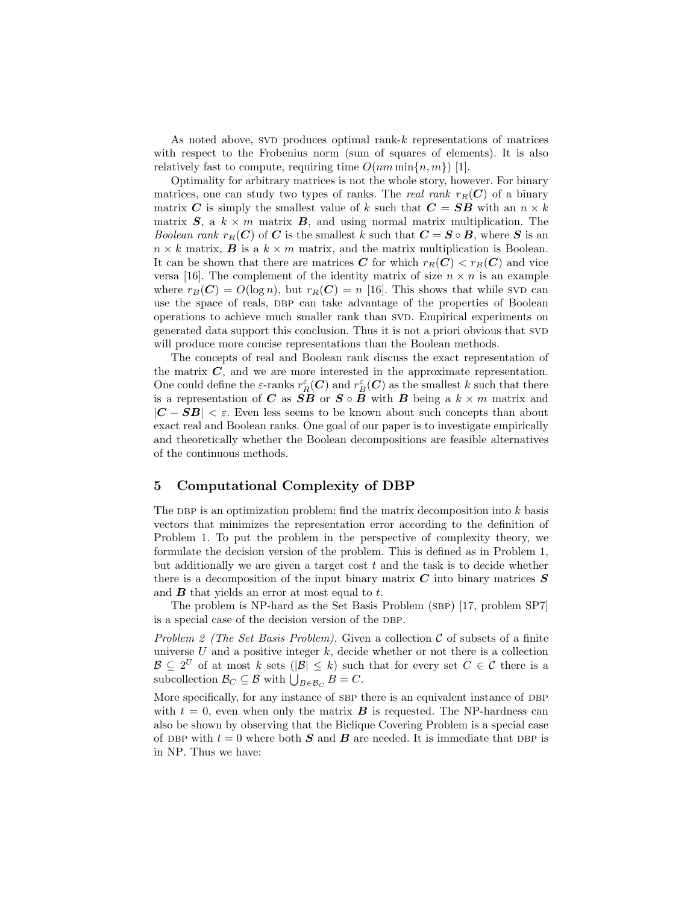As noted above,  $SVD$  produces optimal rank-k representations of matrices with respect to the Frobenius norm (sum of squares of elements). It is also relatively fast to compute, requiring time  $O(nm \min\{n, m\})$  [1].

Optimality for arbitrary matrices is not the whole story, however. For binary matrices, one can study two types of ranks. The real rank  $r_R(C)$  of a binary matrix C is simply the smallest value of k such that  $C = SB$  with an  $n \times k$ matrix  $S$ , a  $k \times m$  matrix  $B$ , and using normal matrix multiplication. The Boolean rank  $r_B(C)$  of C is the smallest k such that  $C = S \circ B$ , where S is an  $n \times k$  matrix, **B** is a  $k \times m$  matrix, and the matrix multiplication is Boolean. It can be shown that there are matrices C for which  $r_R(C) < r_B(C)$  and vice versa [16]. The complement of the identity matrix of size  $n \times n$  is an example where  $r_B(C) = O(\log n)$ , but  $r_B(C) = n$  [16]. This shows that while SVD can use the space of reals, DBP can take advantage of the properties of Boolean operations to achieve much smaller rank than SVD. Empirical experiments on generated data support this conclusion. Thus it is not a priori obvious that SVD will produce more concise representations than the Boolean methods.

The concepts of real and Boolean rank discuss the exact representation of the matrix  $C$ , and we are more interested in the approximate representation. One could define the  $\varepsilon$ -ranks  $r_R^{\varepsilon}(C)$  and  $r_B^{\varepsilon}(C)$  as the smallest k such that there is a representation of C as  $SB$  or  $S \circ B$  with B being a  $k \times m$  matrix and  $|C - SB| < \varepsilon$ . Even less seems to be known about such concepts than about exact real and Boolean ranks. One goal of our paper is to investigate empirically and theoretically whether the Boolean decompositions are feasible alternatives of the continuous methods.

# 5 Computational Complexity of DBP

The DBP is an optimization problem: find the matrix decomposition into  $k$  basis vectors that minimizes the representation error according to the definition of Problem 1. To put the problem in the perspective of complexity theory, we formulate the decision version of the problem. This is defined as in Problem 1, but additionally we are given a target cost  $t$  and the task is to decide whether there is a decomposition of the input binary matrix  $C$  into binary matrices  $S$ and  $\boldsymbol{B}$  that yields an error at most equal to  $t$ .

The problem is NP-hard as the Set Basis Problem (SBP) [17, problem SP7] is a special case of the decision version of the DBP.

Problem 2 (The Set Basis Problem). Given a collection  $C$  of subsets of a finite universe  $U$  and a positive integer  $k$ , decide whether or not there is a collection  $\mathcal{B} \subseteq 2^U$  of at most k sets  $(|\mathcal{B}| \leq k)$  such that for every set  $C \in \mathcal{C}$  there is a subcollection  $\mathcal{B}_C \subseteq \mathcal{B}$  with  $\bigcup_{B \in \mathcal{B}_C} B = C$ .

More specifically, for any instance of SBP there is an equivalent instance of DBP with  $t = 0$ , even when only the matrix **B** is requested. The NP-hardness can also be shown by observing that the Biclique Covering Problem is a special case of DBP with  $t = 0$  where both S and B are needed. It is immediate that DBP is in NP. Thus we have: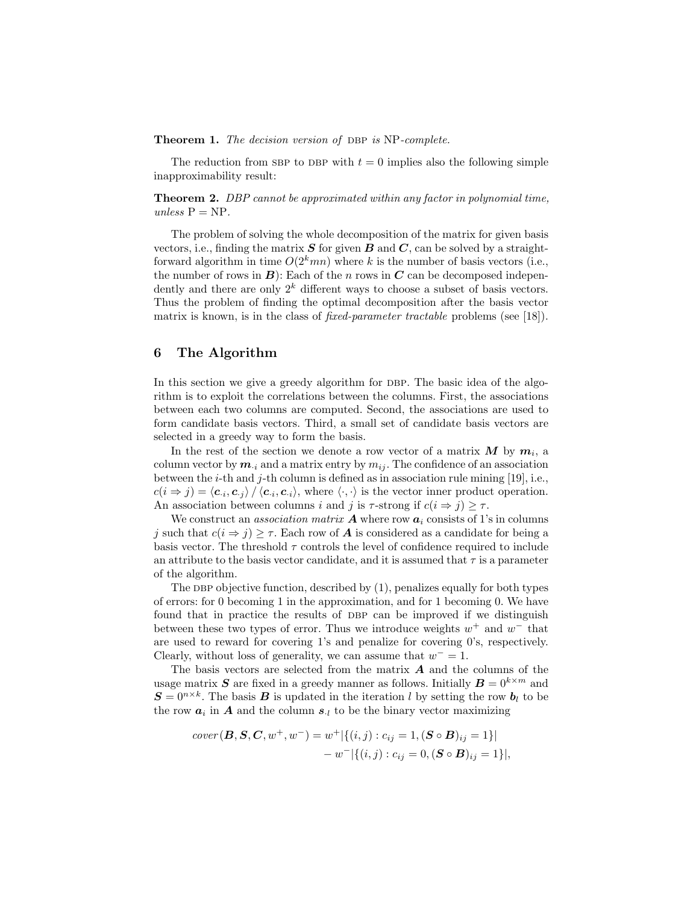Theorem 1. The decision version of DBP is NP-complete.

The reduction from SBP to DBP with  $t = 0$  implies also the following simple inapproximability result:

**Theorem 2.** DBP cannot be approximated within any factor in polynomial time. unless  $P = NP$ .

The problem of solving the whole decomposition of the matrix for given basis vectors, i.e., finding the matrix  $S$  for given  $B$  and  $C$ , can be solved by a straightforward algorithm in time  $O(2<sup>k</sup>mn)$  where k is the number of basis vectors (i.e., the number of rows in  $B$ ): Each of the n rows in  $C$  can be decomposed independently and there are only  $2^k$  different ways to choose a subset of basis vectors. Thus the problem of finding the optimal decomposition after the basis vector matrix is known, is in the class of *fixed-parameter tractable* problems (see [18]).

### 6 The Algorithm

In this section we give a greedy algorithm for DBP. The basic idea of the algorithm is to exploit the correlations between the columns. First, the associations between each two columns are computed. Second, the associations are used to form candidate basis vectors. Third, a small set of candidate basis vectors are selected in a greedy way to form the basis.

In the rest of the section we denote a row vector of a matrix  $M$  by  $m_i$ , a column vector by  $m_{i}$  and a matrix entry by  $m_{ij}$ . The confidence of an association between the *i*-th and *j*-th column is defined as in association rule mining [19], i.e.,  $c(i \Rightarrow j) = \langle c_i, c_j \rangle / \langle c_i, c_i \rangle$ , where  $\langle \cdot, \cdot \rangle$  is the vector inner product operation. An association between columns i and j is  $\tau$ -strong if  $c(i \Rightarrow j) \ge \tau$ .

We construct an *association matrix* **A** where row  $a_i$  consists of 1's in columns j such that  $c(i \Rightarrow j) \geq \tau$ . Each row of **A** is considered as a candidate for being a basis vector. The threshold  $\tau$  controls the level of confidence required to include an attribute to the basis vector candidate, and it is assumed that  $\tau$  is a parameter of the algorithm.

The DBP objective function, described by  $(1)$ , penalizes equally for both types of errors: for 0 becoming 1 in the approximation, and for 1 becoming 0. We have found that in practice the results of DBP can be improved if we distinguish between these two types of error. Thus we introduce weights  $w^+$  and  $w^-$  that are used to reward for covering 1's and penalize for covering 0's, respectively. Clearly, without loss of generality, we can assume that  $w^- = 1$ .

The basis vectors are selected from the matrix  $A$  and the columns of the usage matrix S are fixed in a greedy manner as follows. Initially  $B = 0^{k \times m}$  and  $S = 0^{n \times k}$ . The basis **B** is updated in the iteration l by setting the row  $b_l$  to be the row  $a_i$  in A and the column  $s_{i,l}$  to be the binary vector maximizing

$$
cover(\mathbf{B}, \mathbf{S}, \mathbf{C}, w^+, w^-) = w^+ | \{ (i, j) : c_{ij} = 1, (\mathbf{S} \circ \mathbf{B})_{ij} = 1 \} |
$$
  
-  $w^- | \{ (i, j) : c_{ij} = 0, (\mathbf{S} \circ \mathbf{B})_{ij} = 1 \} |,$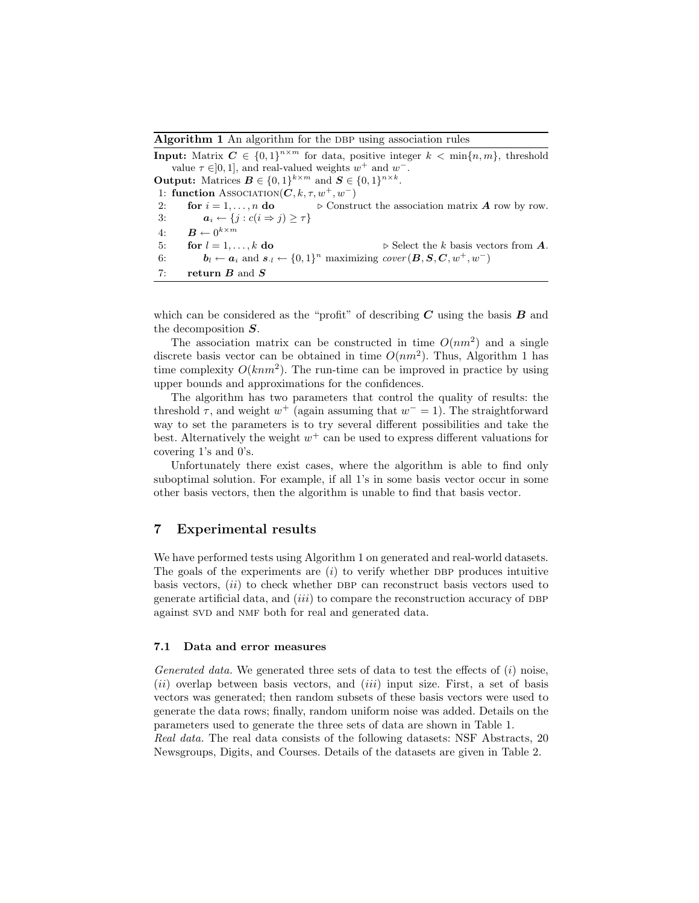#### Algorithm 1 An algorithm for the DBP using association rules

**Input:** Matrix  $C \in \{0,1\}^{n \times m}$  for data, positive integer  $k < \min\{n,m\}$ , threshold value  $\tau \in ]0,1]$ , and real-valued weights  $w^+$  and  $w^-$ . **Output:** Matrices  $\mathbf{B} \in \{0,1\}^{k \times m}$  and  $\mathbf{S} \in \{0,1\}^{n \times k}$ . 1: function Association( $C, k, \tau, w^+, w^-$ ) 2: for  $i = 1, ..., n$  do  $\triangleright$  Construct the association matrix A row by row. 3:  $\mathbf{a}_i \leftarrow \{j : c(i \Rightarrow j) \geq \tau\}$ 4:  $\mathbf{B} \leftarrow 0^{k \times m}$ 5: for  $l = 1, ..., k$  do  $\triangleright$  Select the k basis vectors from A. 6:  $\boldsymbol{b}_l \leftarrow \boldsymbol{a}_i \text{ and } \boldsymbol{s}_{\cdot l} \leftarrow \{0,1\}^n \text{ maximizing } cover(\boldsymbol{B}, \boldsymbol{S}, \boldsymbol{C}, w^+, w^-)$ 7: return  $B$  and  $S$ 

which can be considered as the "profit" of describing  $C$  using the basis  $B$  and the decomposition S.

The association matrix can be constructed in time  $O(nm^2)$  and a single discrete basis vector can be obtained in time  $O(nm^2)$ . Thus, Algorithm 1 has time complexity  $O(knm^2)$ . The run-time can be improved in practice by using upper bounds and approximations for the confidences.

The algorithm has two parameters that control the quality of results: the threshold  $\tau$ , and weight  $w^+$  (again assuming that  $w^- = 1$ ). The straightforward way to set the parameters is to try several different possibilities and take the best. Alternatively the weight  $w^+$  can be used to express different valuations for covering 1's and 0's.

Unfortunately there exist cases, where the algorithm is able to find only suboptimal solution. For example, if all 1's in some basis vector occur in some other basis vectors, then the algorithm is unable to find that basis vector.

### 7 Experimental results

We have performed tests using Algorithm 1 on generated and real-world datasets. The goals of the experiments are  $(i)$  to verify whether DBP produces intuitive basis vectors,  $(ii)$  to check whether DBP can reconstruct basis vectors used to generate artificial data, and  $(iii)$  to compare the reconstruction accuracy of DBP against SVD and NMF both for real and generated data.

### 7.1 Data and error measures

Generated data. We generated three sets of data to test the effects of  $(i)$  noise,  $(ii)$  overlap between basis vectors, and  $(iii)$  input size. First, a set of basis vectors was generated; then random subsets of these basis vectors were used to generate the data rows; finally, random uniform noise was added. Details on the parameters used to generate the three sets of data are shown in Table 1. Real data. The real data consists of the following datasets: NSF Abstracts, 20

Newsgroups, Digits, and Courses. Details of the datasets are given in Table 2.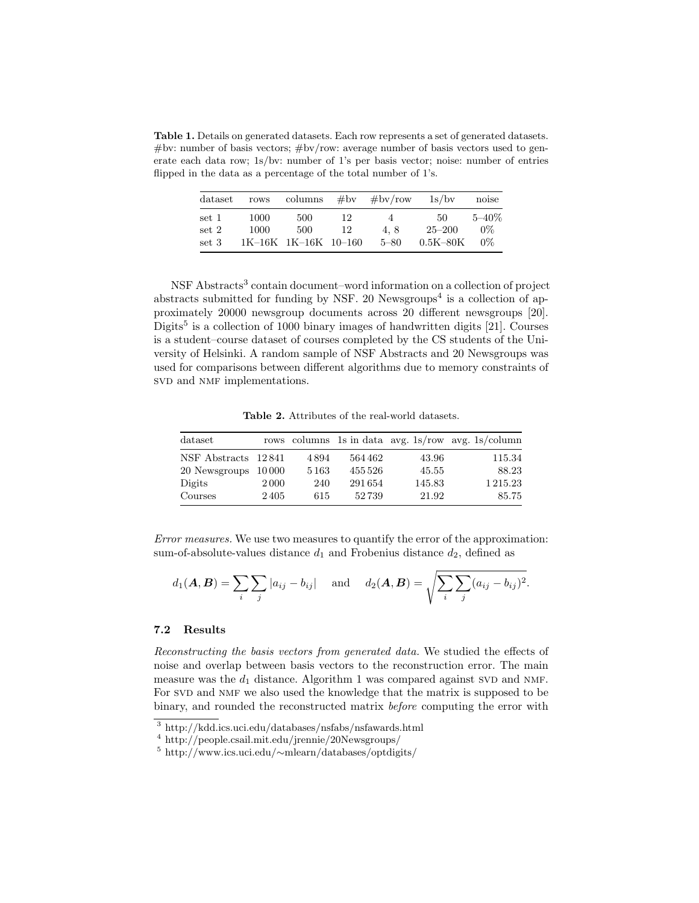Table 1. Details on generated datasets. Each row represents a set of generated datasets.  $#$ bv: number of basis vectors;  $#$ bv/row: average number of basis vectors used to generate each data row; 1s/bv: number of 1's per basis vector; noise: number of entries flipped in the data as a percentage of the total number of 1's.

| dataset | rows | columns              | $\#\text{bv}$ | $\#$ bv/row | 1s/bv      | noise      |
|---------|------|----------------------|---------------|-------------|------------|------------|
| set 1   | 1000 | 500                  | 12            |             | 50         | $5 - 40\%$ |
| set 2   | 1000 | 500                  | 12            | 4.8         | $25 - 200$ | $0\%$      |
| set 3   |      | 1K-16K 1K-16K 10-160 |               | $5 - 80$    | $0.5K-80K$ | $0\%$      |

NSF Abstracts<sup>3</sup> contain document–word information on a collection of project abstracts submitted for funding by NSF. 20 Newsgroups<sup>4</sup> is a collection of approximately 20000 newsgroup documents across 20 different newsgroups [20]. Digits<sup>5</sup> is a collection of 1000 binary images of handwritten digits [21]. Courses is a student–course dataset of courses completed by the CS students of the University of Helsinki. A random sample of NSF Abstracts and 20 Newsgroups was used for comparisons between different algorithms due to memory constraints of SVD and NMF implementations.

Table 2. Attributes of the real-world datasets.

| dataset             |        |      |         |        | rows columns 1s in data avg. 1s/row avg. 1s/column |
|---------------------|--------|------|---------|--------|----------------------------------------------------|
| NSF Abstracts 12841 |        | 4894 | 564 462 | 43.96  | 115.34                                             |
| 20 Newsgroups       | 10 000 | 5163 | 455 526 | 45.55  | 88.23                                              |
| Digits              | 2000   | 240  | 291654  | 145.83 | 1215.23                                            |
| Courses             | 2405   | 615  | 52739   | 21.92  | 85.75                                              |

Error measures. We use two measures to quantify the error of the approximation: sum-of-absolute-values distance  $d_1$  and Frobenius distance  $d_2$ , defined as

$$
d_1(\mathbf{A}, \mathbf{B}) = \sum_i \sum_j |a_{ij} - b_{ij}|
$$
 and  $d_2(\mathbf{A}, \mathbf{B}) = \sqrt{\sum_i \sum_j (a_{ij} - b_{ij})^2}.$ 

### 7.2 Results

Reconstructing the basis vectors from generated data. We studied the effects of noise and overlap between basis vectors to the reconstruction error. The main measure was the  $d_1$  distance. Algorithm 1 was compared against SVD and NMF. For SVD and NMF we also used the knowledge that the matrix is supposed to be binary, and rounded the reconstructed matrix before computing the error with

<sup>3</sup> http://kdd.ics.uci.edu/databases/nsfabs/nsfawards.html

<sup>4</sup> http://people.csail.mit.edu/jrennie/20Newsgroups/

<sup>5</sup> http://www.ics.uci.edu/∼mlearn/databases/optdigits/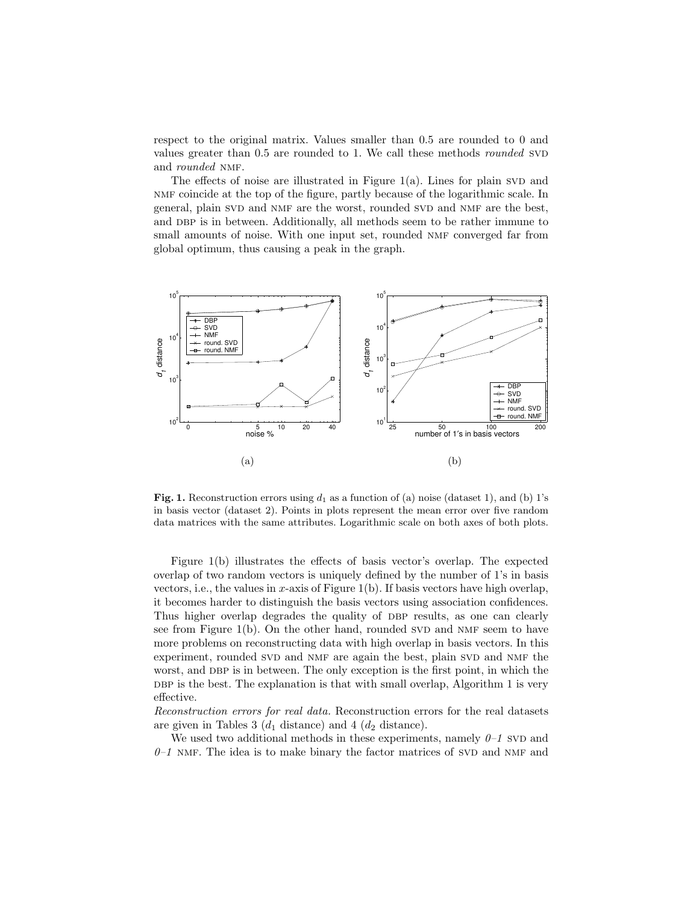respect to the original matrix. Values smaller than 0.5 are rounded to 0 and values greater than 0.5 are rounded to 1. We call these methods *rounded* SVD and *rounded* NMF.

The effects of noise are illustrated in Figure  $1(a)$ . Lines for plain SVD and nmf coincide at the top of the figure, partly because of the logarithmic scale. In general, plain SVD and NMF are the worst, rounded SVD and NMF are the best, and DBP is in between. Additionally, all methods seem to be rather immune to small amounts of noise. With one input set, rounded NMF converged far from global optimum, thus causing a peak in the graph.



Fig. 1. Reconstruction errors using  $d_1$  as a function of (a) noise (dataset 1), and (b) 1's in basis vector (dataset 2). Points in plots represent the mean error over five random data matrices with the same attributes. Logarithmic scale on both axes of both plots.

Figure 1(b) illustrates the effects of basis vector's overlap. The expected overlap of two random vectors is uniquely defined by the number of 1's in basis vectors, i.e., the values in  $x$ -axis of Figure 1(b). If basis vectors have high overlap, it becomes harder to distinguish the basis vectors using association confidences. Thus higher overlap degrades the quality of DBP results, as one can clearly see from Figure  $1(b)$ . On the other hand, rounded SVD and NMF seem to have more problems on reconstructing data with high overlap in basis vectors. In this experiment, rounded SVD and NMF are again the best, plain SVD and NMF the worst, and DBP is in between. The only exception is the first point, in which the DBP is the best. The explanation is that with small overlap, Algorithm 1 is very effective.

Reconstruction errors for real data. Reconstruction errors for the real datasets are given in Tables 3 ( $d_1$  distance) and 4 ( $d_2$  distance).

We used two additional methods in these experiments, namely  $\theta$ -1 svD and  $0-1$  NMF. The idea is to make binary the factor matrices of SVD and NMF and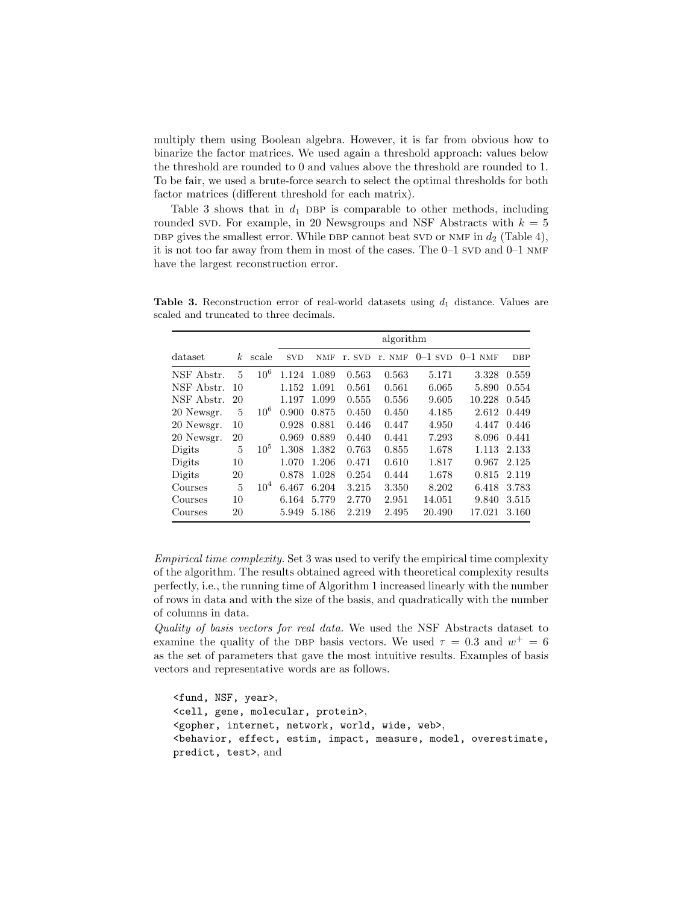multiply them using Boolean algebra. However, it is far from obvious how to binarize the factor matrices. We used again a threshold approach: values below the threshold are rounded to 0 and values above the threshold are rounded to 1. To be fair, we used a brute-force search to select the optimal thresholds for both factor matrices (different threshold for each matrix).

Table 3 shows that in  $d_1$  DBP is comparable to other methods, including rounded SVD. For example, in 20 Newsgroups and NSF Abstracts with  $k = 5$ DBP gives the smallest error. While DBP cannot beat SVD or NMF in  $d_2$  (Table 4), it is not too far away from them in most of the cases. The  $0-1$  SVD and  $0-1$  NMF have the largest reconstruction error.

Table 3. Reconstruction error of real-world datasets using  $d_1$  distance. Values are scaled and truncated to three decimals.

|            |                |                 | algorithm  |            |        |        |                       |           |       |
|------------|----------------|-----------------|------------|------------|--------|--------|-----------------------|-----------|-------|
| dataset    | k <sub>i</sub> | scale           | <b>SVD</b> | <b>NMF</b> | r. SVD | r. NMF | $0-1$ sv <sub>D</sub> | $0-1$ NMF | DBP   |
| NSF Abstr. | 5              | 10 <sup>6</sup> | 1.124      | 1.089      | 0.563  | 0.563  | 5.171                 | 3.328     | 0.559 |
| NSF Abstr. | 10             |                 | 1.152      | 1.091      | 0.561  | 0.561  | 6.065                 | 5.890     | 0.554 |
| NSF Abstr. | 20             |                 | 1.197      | 1.099      | 0.555  | 0.556  | 9.605                 | 10.228    | 0.545 |
| 20 Newsgr. | 5              | 10 <sup>6</sup> | 0.900      | 0.875      | 0.450  | 0.450  | 4.185                 | 2.612     | 0.449 |
| 20 Newsgr. | 10             |                 | 0.928      | 0.881      | 0.446  | 0.447  | 4.950                 | 4.447     | 0.446 |
| 20 Newsgr. | 20             |                 | 0.969      | 0.889      | 0.440  | 0.441  | 7.293                 | 8.096     | 0.441 |
| Digits     | 5              | 10 <sup>5</sup> | 1.308      | 1.382      | 0.763  | 0.855  | 1.678                 | 1.113     | 2.133 |
| Digits     | 10             |                 | 1.070      | 1.206      | 0.471  | 0.610  | 1.817                 | 0.967     | 2.125 |
| Digits     | 20             |                 | 0.878      | 1.028      | 0.254  | 0.444  | 1.678                 | 0.815     | 2.119 |
| Courses    | 5              | $10^{4}$        | 6.467      | 6.204      | 3.215  | 3.350  | 8.202                 | 6.418     | 3.783 |
| Courses    | 10             |                 | 6.164      | 5.779      | 2.770  | 2.951  | 14.051                | 9.840     | 3.515 |
| Courses    | 20             |                 | 5.949      | 5.186      | 2.219  | 2.495  | 20.490                | 17.021    | 3.160 |

Empirical time complexity. Set 3 was used to verify the empirical time complexity of the algorithm. The results obtained agreed with theoretical complexity results perfectly, i.e., the running time of Algorithm 1 increased linearly with the number of rows in data and with the size of the basis, and quadratically with the number of columns in data.

Quality of basis vectors for real data. We used the NSF Abstracts dataset to examine the quality of the DBP basis vectors. We used  $\tau = 0.3$  and  $w^+ = 6$ as the set of parameters that gave the most intuitive results. Examples of basis vectors and representative words are as follows.

```
<fund, NSF, year>,
<cell, gene, molecular, protein>,
<gopher, internet, network, world, wide, web>,
<behavior, effect, estim, impact, measure, model, overestimate,
predict, test>, and
```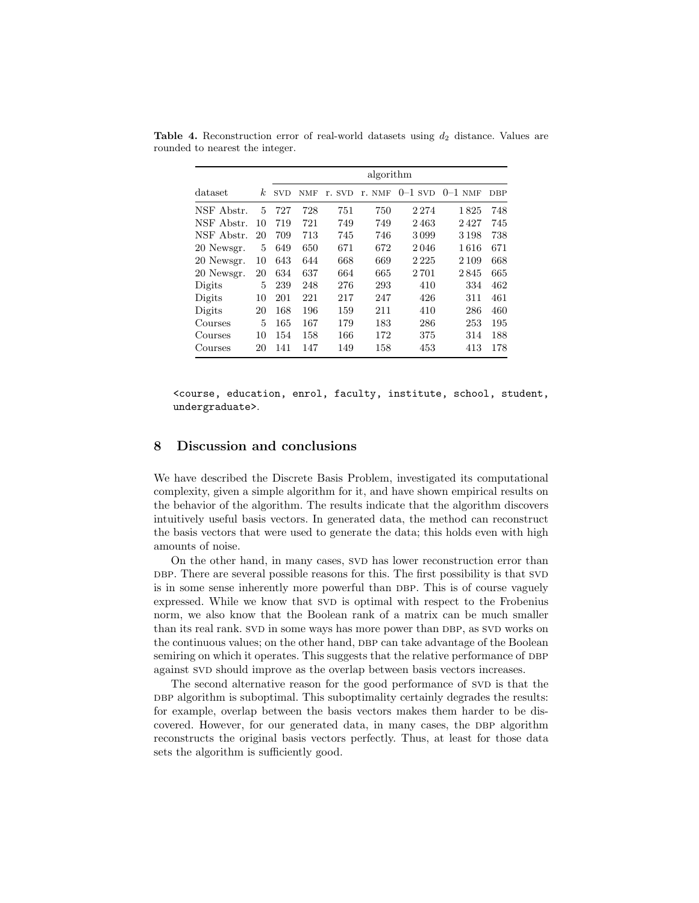|            |    | algorithm  |            |        |        |           |           |            |  |
|------------|----|------------|------------|--------|--------|-----------|-----------|------------|--|
| dataset    | k. | <b>SVD</b> | <b>NMF</b> | r. SVD | r. NMF | $0-1$ SVD | $0-1$ NMF | <b>DBP</b> |  |
| NSF Abstr. | 5  | 727        | 728        | 751    | 750    | 2274      | 1825      | 748        |  |
| NSF Abstr. | 10 | 719        | 721        | 749    | 749    | 2463      | 2427      | 745        |  |
| NSF Abstr. | 20 | 709        | 713        | 745    | 746    | 3099      | 3198      | 738        |  |
| 20 Newsgr. | 5  | 649        | 650        | 671    | 672    | 2046      | 1616      | 671        |  |
| 20 Newsgr. | 10 | 643        | 644        | 668    | 669    | 2 2 2 5   | 2 1 0 9   | 668        |  |
| 20 Newsgr. | 20 | 634        | 637        | 664    | 665    | 2701      | 2845      | 665        |  |
| Digits     | 5  | 239        | 248        | 276    | 293    | 410       | 334       | 462        |  |
| Digits     | 10 | 201        | 221        | 217    | 247    | 426       | 311       | 461        |  |
| Digits     | 20 | 168        | 196        | 159    | 211    | 410       | 286       | 460        |  |
| Courses    | 5  | 165        | 167        | 179    | 183    | 286       | 253       | 195        |  |
| Courses    | 10 | 154        | 158        | 166    | 172    | 375       | 314       | 188        |  |
| Courses    | 20 | 141        | 147        | 149    | 158    | 453       | 413       | 178        |  |

**Table 4.** Reconstruction error of real-world datasets using  $d_2$  distance. Values are rounded to nearest the integer.

<course, education, enrol, faculty, institute, school, student, undergraduate>.

# 8 Discussion and conclusions

We have described the Discrete Basis Problem, investigated its computational complexity, given a simple algorithm for it, and have shown empirical results on the behavior of the algorithm. The results indicate that the algorithm discovers intuitively useful basis vectors. In generated data, the method can reconstruct the basis vectors that were used to generate the data; this holds even with high amounts of noise.

On the other hand, in many cases, SVD has lower reconstruction error than DBP. There are several possible reasons for this. The first possibility is that SVD is in some sense inherently more powerful than DBP. This is of course vaguely expressed. While we know that svD is optimal with respect to the Frobenius norm, we also know that the Boolean rank of a matrix can be much smaller than its real rank. SVD in some ways has more power than DBP, as SVD works on the continuous values; on the other hand, DBP can take advantage of the Boolean semiring on which it operates. This suggests that the relative performance of DBP against SVD should improve as the overlap between basis vectors increases.

The second alternative reason for the good performance of SVD is that the DBP algorithm is suboptimal. This suboptimality certainly degrades the results: for example, overlap between the basis vectors makes them harder to be discovered. However, for our generated data, in many cases, the DBP algorithm reconstructs the original basis vectors perfectly. Thus, at least for those data sets the algorithm is sufficiently good.